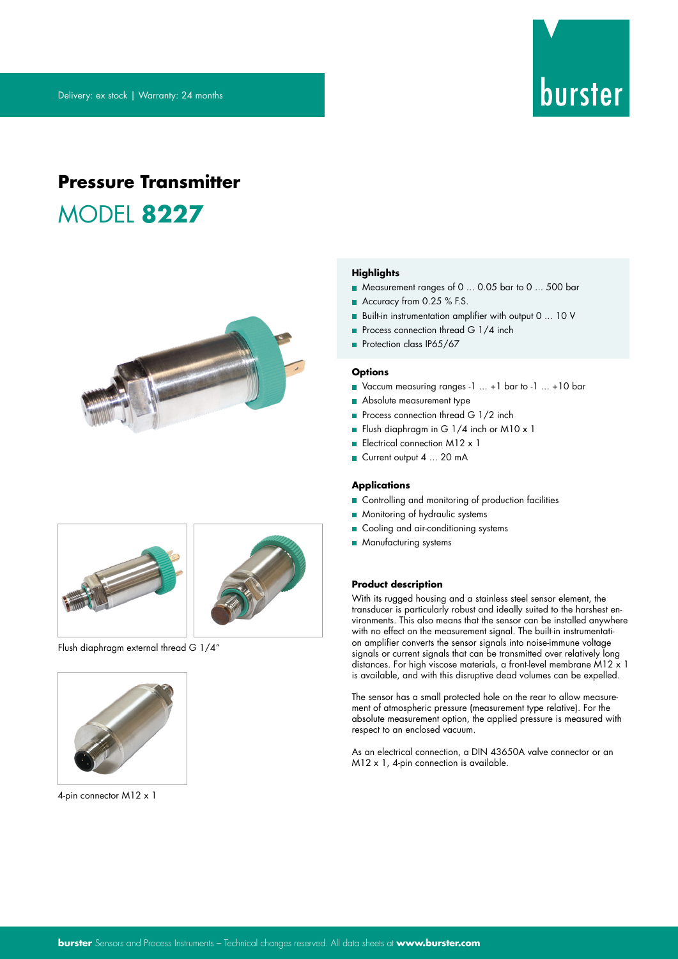# burster

## **Pressure Transmitter** MODEL **8227**





Flush diaphragm external thread G 1/4"



4-pin connector M12 x 1

#### **Highlights**

- Measurement ranges of 0 ... 0.05 bar to 0 ... 500 bar
- Accuracy from 0.25 % F.S.
- Built-in instrumentation amplifier with output 0 ... 10 V
- Process connection thread G 1/4 inch
- Protection class IP65/67

#### **Options**

- Vaccum measuring ranges -1 ... +1 bar to -1 ... +10 bar
- Absolute measurement type
- Process connection thread G 1/2 inch
- Flush diaphragm in G 1/4 inch or M10 x 1
- Electrical connection M12 x 1
- Current output 4 ... 20 mA

#### **Applications**

- Controlling and monitoring of production facilities
- **Monitoring of hydraulic systems**
- Cooling and air-conditioning systems
- **Manufacturing systems**

#### **Product description**

With its rugged housing and a stainless steel sensor element, the transducer is particularly robust and ideally suited to the harshest environments. This also means that the sensor can be installed anywhere with no effect on the measurement signal. The built-in instrumentation amplifier converts the sensor signals into noise-immune voltage signals or current signals that can be transmitted over relatively long distances. For high viscose materials, a front-level membrane M12 x 1 is available, and with this disruptive dead volumes can be expelled.

The sensor has a small protected hole on the rear to allow measurement of atmospheric pressure (measurement type relative). For the absolute measurement option, the applied pressure is measured with respect to an enclosed vacuum.

As an electrical connection, a DIN 43650A valve connector or an M12 x 1, 4-pin connection is available.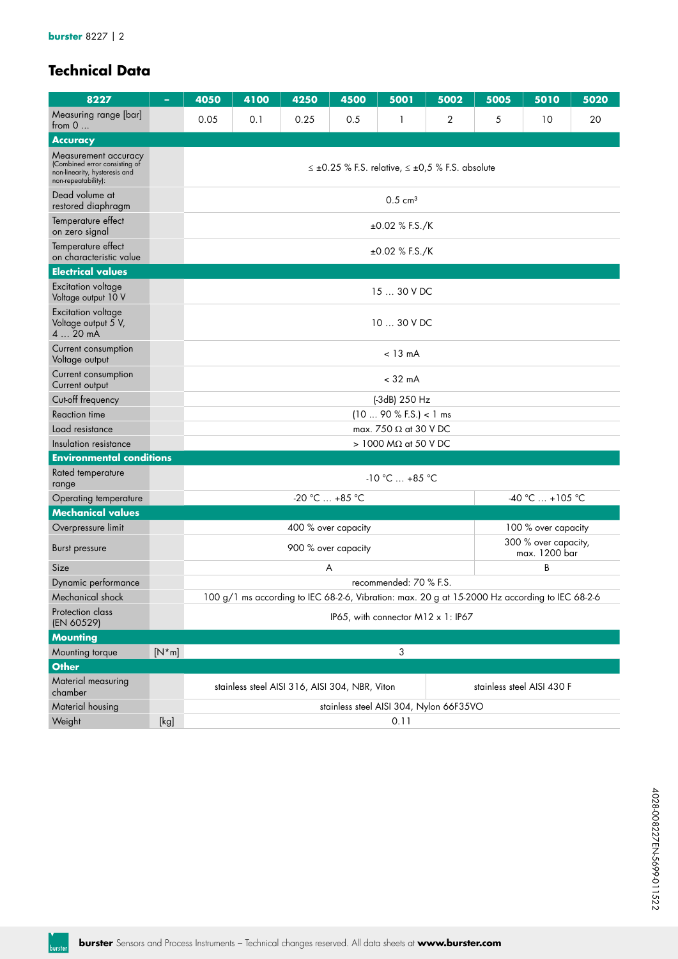## **Technical Data**

| 8227                                                                                                          |         | 4050                                                                         | 4100             | 4250                | 4500                | 5001                           | 5002                                                                                           | 5005 | 5010                                  | 5020 |  |  |
|---------------------------------------------------------------------------------------------------------------|---------|------------------------------------------------------------------------------|------------------|---------------------|---------------------|--------------------------------|------------------------------------------------------------------------------------------------|------|---------------------------------------|------|--|--|
| Measuring range [bar]<br>from $0$                                                                             |         | 0.05                                                                         | 0.1              | 0.25                | 0.5                 | 1                              | 2                                                                                              | 5    | 10                                    | 20   |  |  |
| <b>Accuracy</b>                                                                                               |         |                                                                              |                  |                     |                     |                                |                                                                                                |      |                                       |      |  |  |
| Measurement accuracy<br>(Combined error consisting of<br>non-linearity, hysteresis and<br>non-repeatability): |         |                                                                              |                  |                     |                     |                                | $\leq \pm 0.25$ % F.S. relative, $\leq \pm 0.5$ % F.S. absolute                                |      |                                       |      |  |  |
| Dead volume at<br>restored diaphragm                                                                          |         |                                                                              |                  |                     |                     | $0.5 \text{ cm}^3$             |                                                                                                |      |                                       |      |  |  |
| Temperature effect<br>on zero signal                                                                          |         |                                                                              |                  |                     |                     | $±0.02$ % F.S./K               |                                                                                                |      |                                       |      |  |  |
| Temperature effect<br>on characteristic value                                                                 |         |                                                                              | $±0.02$ % F.S./K |                     |                     |                                |                                                                                                |      |                                       |      |  |  |
| <b>Electrical values</b>                                                                                      |         |                                                                              |                  |                     |                     |                                |                                                                                                |      |                                       |      |  |  |
| Excitation voltage<br>Voltage output 10 V                                                                     |         |                                                                              |                  |                     |                     | 15  30 V DC                    |                                                                                                |      |                                       |      |  |  |
| <b>Excitation voltage</b><br>Voltage output 5 V,<br>420mA                                                     |         |                                                                              |                  |                     |                     | 10  30 V DC                    |                                                                                                |      |                                       |      |  |  |
| Current consumption<br>Voltage output                                                                         |         |                                                                              |                  |                     |                     | $< 13 \text{ mA}$              |                                                                                                |      |                                       |      |  |  |
| Current consumption<br>Current output                                                                         |         |                                                                              |                  |                     |                     | $<$ 32 mA                      |                                                                                                |      |                                       |      |  |  |
| Cut-off frequency                                                                                             |         |                                                                              |                  |                     |                     | (-3dB) 250 Hz                  |                                                                                                |      |                                       |      |  |  |
| Reaction time                                                                                                 |         |                                                                              |                  |                     |                     | (1090 % F.S.) < 1 ms           |                                                                                                |      |                                       |      |  |  |
| Load resistance                                                                                               |         |                                                                              |                  |                     |                     | max. 750 $\Omega$ at 30 V DC   |                                                                                                |      |                                       |      |  |  |
| Insulation resistance                                                                                         |         |                                                                              |                  |                     |                     | $> 1000$ M $\Omega$ at 50 V DC |                                                                                                |      |                                       |      |  |  |
| <b>Environmental conditions</b>                                                                               |         |                                                                              |                  |                     |                     |                                |                                                                                                |      |                                       |      |  |  |
| Rated temperature<br>range                                                                                    |         |                                                                              |                  |                     |                     | $-10 °C  +85 °C$               |                                                                                                |      |                                       |      |  |  |
| Operating temperature                                                                                         |         |                                                                              |                  | $-20 °C  +85 °C$    |                     |                                |                                                                                                |      | -40 °C  +105 °C                       |      |  |  |
| <b>Mechanical values</b>                                                                                      |         |                                                                              |                  |                     |                     |                                |                                                                                                |      |                                       |      |  |  |
| Overpressure limit                                                                                            |         |                                                                              |                  | 400 % over capacity |                     |                                |                                                                                                |      | 100 % over capacity                   |      |  |  |
| Burst pressure                                                                                                |         |                                                                              |                  |                     | 900 % over capacity |                                |                                                                                                |      | 300 % over capacity,<br>max. 1200 bar |      |  |  |
| Size                                                                                                          |         |                                                                              |                  | A                   |                     |                                |                                                                                                |      | B                                     |      |  |  |
| Dynamic performance                                                                                           |         |                                                                              |                  |                     |                     | recommended: 70 % F.S.         |                                                                                                |      |                                       |      |  |  |
| Mechanical shock                                                                                              |         |                                                                              |                  |                     |                     |                                | 100 g/1 ms according to IEC 68-2-6, Vibration: max. 20 g at 15-2000 Hz according to IEC 68-2-6 |      |                                       |      |  |  |
| Protection class<br>(EN 60529)                                                                                |         |                                                                              |                  |                     |                     |                                | IP65, with connector $M12 \times 1$ : IP67                                                     |      |                                       |      |  |  |
| <b>Mounting</b>                                                                                               |         |                                                                              |                  |                     |                     |                                |                                                                                                |      |                                       |      |  |  |
| Mounting torque                                                                                               | $[N*m]$ | 3                                                                            |                  |                     |                     |                                |                                                                                                |      |                                       |      |  |  |
| <b>Other</b>                                                                                                  |         |                                                                              |                  |                     |                     |                                |                                                                                                |      |                                       |      |  |  |
| Material measuring<br>chamber                                                                                 |         | stainless steel AISI 430 F<br>stainless steel AISI 316, AISI 304, NBR, Viton |                  |                     |                     |                                |                                                                                                |      |                                       |      |  |  |
| Material housing                                                                                              |         |                                                                              |                  |                     |                     |                                | stainless steel AISI 304, Nylon 66F35VO                                                        |      |                                       |      |  |  |
| Weight                                                                                                        | [kg]    |                                                                              |                  |                     |                     | 0.11                           |                                                                                                |      |                                       |      |  |  |

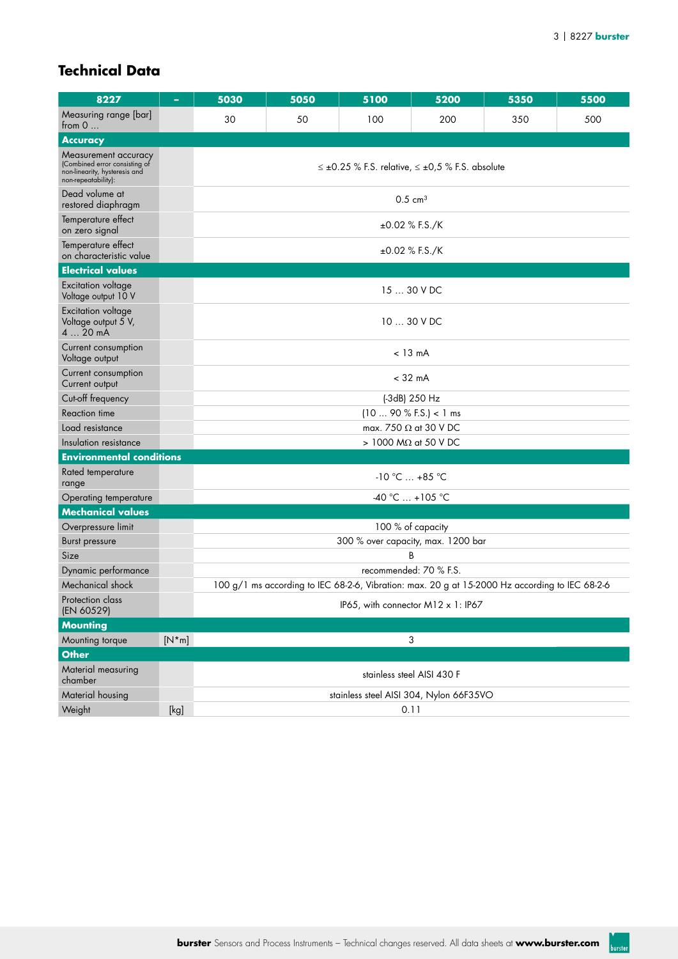## **Technical Data**

| 8227                                                                                                          | ۰       | 5030                       | 5050    | 5100                                                                                           | 5200                         | 5350 | 5500 |  |  |  |  |  |  |
|---------------------------------------------------------------------------------------------------------------|---------|----------------------------|---------|------------------------------------------------------------------------------------------------|------------------------------|------|------|--|--|--|--|--|--|
| Measuring range [bar]<br>from $0$                                                                             |         | 30                         | 50      | 100                                                                                            | 200                          | 350  | 500  |  |  |  |  |  |  |
| <b>Accuracy</b>                                                                                               |         |                            |         |                                                                                                |                              |      |      |  |  |  |  |  |  |
| Measurement accuracy<br>(Combined error consisting of<br>non-linearity, hysteresis and<br>non-repeatability): |         |                            |         | $\leq \pm 0.25$ % F.S. relative, $\leq \pm 0.5$ % F.S. absolute                                |                              |      |      |  |  |  |  |  |  |
| Dead volume at<br>restored diaphragm                                                                          |         |                            |         | $0.5 \text{ cm}^3$                                                                             |                              |      |      |  |  |  |  |  |  |
| Temperature effect<br>on zero signal                                                                          |         |                            |         | $\pm 0.02$ % F.S./K                                                                            |                              |      |      |  |  |  |  |  |  |
| Temperature effect<br>on characteristic value                                                                 |         | $\pm 0.02$ % F.S./K        |         |                                                                                                |                              |      |      |  |  |  |  |  |  |
| <b>Electrical values</b>                                                                                      |         |                            |         |                                                                                                |                              |      |      |  |  |  |  |  |  |
| Excitation voltage<br>Voltage output 10 V                                                                     |         |                            | 1530VDC |                                                                                                |                              |      |      |  |  |  |  |  |  |
| Excitation voltage<br>Voltage output 5 V,<br>4  20 mA                                                         |         |                            |         | 10  30 V DC                                                                                    |                              |      |      |  |  |  |  |  |  |
| Current consumption<br>Voltage output                                                                         |         |                            |         | $< 13 \text{ mA}$                                                                              |                              |      |      |  |  |  |  |  |  |
| Current consumption<br>Current output                                                                         |         |                            |         | $<$ 32 mA                                                                                      |                              |      |      |  |  |  |  |  |  |
| Cut-off frequency                                                                                             |         |                            |         | (-3dB) 250 Hz                                                                                  |                              |      |      |  |  |  |  |  |  |
| <b>Reaction time</b>                                                                                          |         |                            |         | (10 90 % F.S.) < 1 ms                                                                          |                              |      |      |  |  |  |  |  |  |
| Load resistance                                                                                               |         |                            |         |                                                                                                | max. 750 $\Omega$ at 30 V DC |      |      |  |  |  |  |  |  |
| Insulation resistance                                                                                         |         |                            |         | $> 1000$ M $\Omega$ at 50 V DC                                                                 |                              |      |      |  |  |  |  |  |  |
| <b>Environmental conditions</b>                                                                               |         |                            |         |                                                                                                |                              |      |      |  |  |  |  |  |  |
| Rated temperature<br>range                                                                                    |         |                            |         | $-10 °C  +85 °C$                                                                               |                              |      |      |  |  |  |  |  |  |
| Operating temperature                                                                                         |         |                            |         | $-40 °C  +105 °C$                                                                              |                              |      |      |  |  |  |  |  |  |
| <b>Mechanical values</b>                                                                                      |         |                            |         |                                                                                                |                              |      |      |  |  |  |  |  |  |
| Overpressure limit                                                                                            |         |                            |         | 100 % of capacity                                                                              |                              |      |      |  |  |  |  |  |  |
| Burst pressure                                                                                                |         |                            |         | 300 % over capacity, max. 1200 bar                                                             |                              |      |      |  |  |  |  |  |  |
| Size                                                                                                          |         |                            |         |                                                                                                | В                            |      |      |  |  |  |  |  |  |
| Dynamic performance                                                                                           |         |                            |         | recommended: 70 % F.S.                                                                         |                              |      |      |  |  |  |  |  |  |
| Mechanical shock                                                                                              |         |                            |         | 100 g/1 ms according to IEC 68-2-6, Vibration: max. 20 g at 15-2000 Hz according to IEC 68-2-6 |                              |      |      |  |  |  |  |  |  |
| Protection class<br>(EN 60529)                                                                                |         |                            |         | IP65, with connector M12 x 1: IP67                                                             |                              |      |      |  |  |  |  |  |  |
| <b>Mounting</b>                                                                                               |         |                            |         |                                                                                                |                              |      |      |  |  |  |  |  |  |
| Mounting torque                                                                                               | $[N*m]$ |                            |         |                                                                                                | 3                            |      |      |  |  |  |  |  |  |
| <b>Other</b>                                                                                                  |         |                            |         |                                                                                                |                              |      |      |  |  |  |  |  |  |
| Material measuring<br>chamber                                                                                 |         | stainless steel AISI 430 F |         |                                                                                                |                              |      |      |  |  |  |  |  |  |
| Material housing                                                                                              |         |                            |         | stainless steel AISI 304, Nylon 66F35VO                                                        |                              |      |      |  |  |  |  |  |  |
| Weight                                                                                                        | [kg]    |                            |         | 0.11                                                                                           |                              |      |      |  |  |  |  |  |  |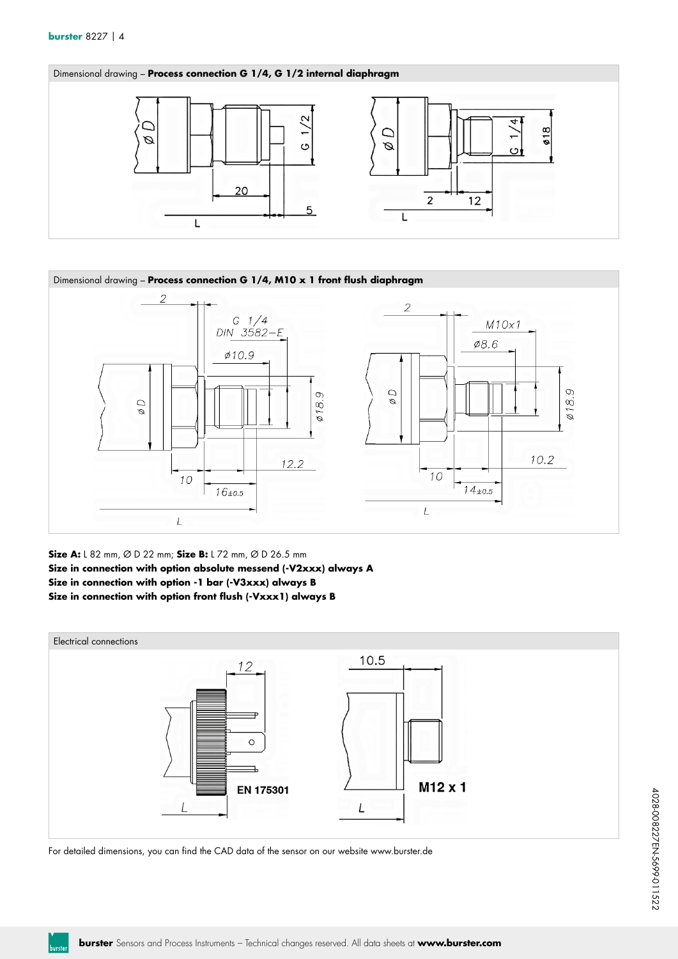



**Size A:** L 82 mm, Ø D 22 mm; **Size B:** L 72 mm, Ø D 26.5 mm **Size in connection with option absolute messend (-V2xxx) always A Size in connection with option -1 bar (-V3xxx) always B Size in connection with option front flush (-Vxxx1) always B**



For detailed dimensions, you can find the CAD data of the sensor on our website www.burster.de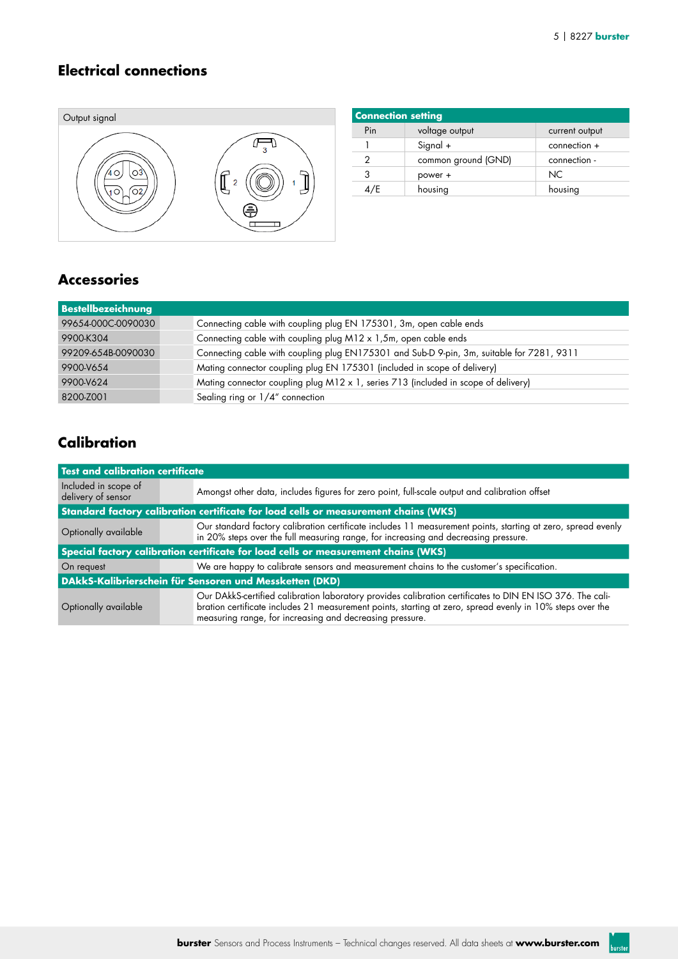#### **Electrical connections**



| <b>Connection setting</b> |                     |                |
|---------------------------|---------------------|----------------|
| Pin                       | voltage output      | current output |
|                           | Signal +            | $connection +$ |
| 2                         | common ground (GND) | connection -   |
| 3                         | power +             | NC.            |
| 4/E                       | housing             | housing        |

#### **Accessories**

| Bestellbezeichnung |                                                                                           |
|--------------------|-------------------------------------------------------------------------------------------|
| 99654-000C-0090030 | Connecting cable with coupling plug EN 175301, 3m, open cable ends                        |
| 9900-K304          | Connecting cable with coupling plug M12 x 1,5m, open cable ends                           |
| 99209-654B-0090030 | Connecting cable with coupling plug EN175301 and Sub-D 9-pin, 3m, suitable for 7281, 9311 |
| 9900-V654          | Mating connector coupling plug EN 175301 (included in scope of delivery)                  |
| 9900-V624          | Mating connector coupling plug M12 x 1, series 713 (included in scope of delivery)        |
| 8200-Z001          | Sealing ring or $1/4$ " connection                                                        |

## **Calibration**

| Test and calibration certificate           |                                                                                                                                                                                                                                                                                    |  |  |  |  |  |  |  |
|--------------------------------------------|------------------------------------------------------------------------------------------------------------------------------------------------------------------------------------------------------------------------------------------------------------------------------------|--|--|--|--|--|--|--|
| Included in scope of<br>delivery of sensor | Amongst other data, includes figures for zero point, full-scale output and calibration offset                                                                                                                                                                                      |  |  |  |  |  |  |  |
|                                            | Standard factory calibration certificate for load cells or measurement chains (WKS)                                                                                                                                                                                                |  |  |  |  |  |  |  |
| Optionally available                       | Our standard factory calibration certificate includes 11 measurement points, starting at zero, spread evenly<br>in 20% steps over the full measuring range, for increasing and decreasing pressure.                                                                                |  |  |  |  |  |  |  |
|                                            | Special factory calibration certificate for load cells or measurement chains (WKS)                                                                                                                                                                                                 |  |  |  |  |  |  |  |
| On request                                 | We are happy to calibrate sensors and measurement chains to the customer's specification.                                                                                                                                                                                          |  |  |  |  |  |  |  |
|                                            | DAkkS-Kalibrierschein für Sensoren und Messketten (DKD)                                                                                                                                                                                                                            |  |  |  |  |  |  |  |
| Optionally available                       | Our DAkkS-certified calibration laboratory provides calibration certificates to DIN EN ISO 376. The cali-<br>bration certificate includes 21 measurement points, starting at zero, spread evenly in 10% steps over the<br>measuring range, for increasing and decreasing pressure. |  |  |  |  |  |  |  |